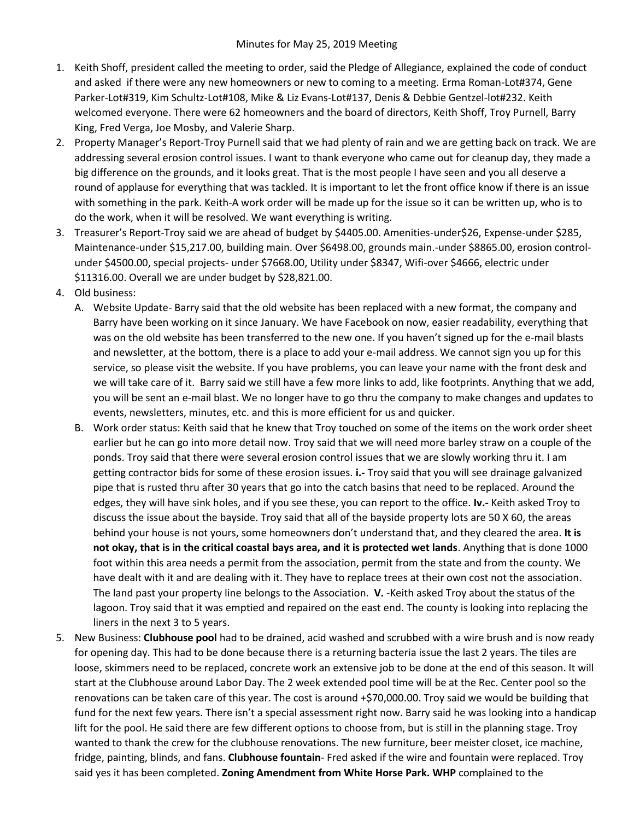- 1. Keith Shoff, president called the meeting to order, said the Pledge of Allegiance, explained the code of conduct and asked if there were any new homeowners or new to coming to a meeting. Erma Roman-Lot#374, Gene Parker-Lot#319, Kim Schultz-Lot#108, Mike & Liz Evans-Lot#137, Denis & Debbie Gentzel-lot#232. Keith welcomed everyone. There were 62 homeowners and the board of directors, Keith Shoff, Troy Purnell, Barry King, Fred Verga, Joe Mosby, and Valerie Sharp.
- 2. Property Manager's Report-Troy Purnell said that we had plenty of rain and we are getting back on track. We are addressing several erosion control issues. I want to thank everyone who came out for cleanup day, they made a big difference on the grounds, and it looks great. That is the most people I have seen and you all deserve a round of applause for everything that was tackled. It is important to let the front office know if there is an issue with something in the park. Keith-A work order will be made up for the issue so it can be written up, who is to do the work, when it will be resolved. We want everything is writing.
- 3. Treasurer's Report-Troy said we are ahead of budget by \$4405.00. Amenities-under\$26, Expense-under \$285, Maintenance-under \$15,217.00, building main. Over \$6498.00, grounds main.-under \$8865.00, erosion controlunder \$4500.00, special projects- under \$7668.00, Utility under \$8347, Wifi-over \$4666, electric under \$11316.00. Overall we are under budget by \$28,821.00.
- 4. Old business:
	- A. Website Update- Barry said that the old website has been replaced with a new format, the company and Barry have been working on it since January. We have Facebook on now, easier readability, everything that was on the old website has been transferred to the new one. If you haven't signed up for the e-mail blasts and newsletter, at the bottom, there is a place to add your e-mail address. We cannot sign you up for this service, so please visit the website. If you have problems, you can leave your name with the front desk and we will take care of it. Barry said we still have a few more links to add, like footprints. Anything that we add, you will be sent an e-mail blast. We no longer have to go thru the company to make changes and updates to events, newsletters, minutes, etc. and this is more efficient for us and quicker.
	- B. Work order status: Keith said that he knew that Troy touched on some of the items on the work order sheet earlier but he can go into more detail now. Troy said that we will need more barley straw on a couple of the ponds. Troy said that there were several erosion control issues that we are slowly working thru it. I am getting contractor bids for some of these erosion issues. **i.-** Troy said that you will see drainage galvanized pipe that is rusted thru after 30 years that go into the catch basins that need to be replaced. Around the edges, they will have sink holes, and if you see these, you can report to the office. **Iv.-** Keith asked Troy to discuss the issue about the bayside. Troy said that all of the bayside property lots are 50 X 60, the areas behind your house is not yours, some homeowners don't understand that, and they cleared the area. **It is not okay, that is in the critical coastal bays area, and it is protected wet lands**. Anything that is done 1000 foot within this area needs a permit from the association, permit from the state and from the county. We have dealt with it and are dealing with it. They have to replace trees at their own cost not the association. The land past your property line belongs to the Association. **V.** -Keith asked Troy about the status of the lagoon. Troy said that it was emptied and repaired on the east end. The county is looking into replacing the liners in the next 3 to 5 years.
- 5. New Business: **Clubhouse pool** had to be drained, acid washed and scrubbed with a wire brush and is now ready for opening day. This had to be done because there is a returning bacteria issue the last 2 years. The tiles are loose, skimmers need to be replaced, concrete work an extensive job to be done at the end of this season. It will start at the Clubhouse around Labor Day. The 2 week extended pool time will be at the Rec. Center pool so the renovations can be taken care of this year. The cost is around +\$70,000.00. Troy said we would be building that fund for the next few years. There isn't a special assessment right now. Barry said he was looking into a handicap lift for the pool. He said there are few different options to choose from, but is still in the planning stage. Troy wanted to thank the crew for the clubhouse renovations. The new furniture, beer meister closet, ice machine, fridge, painting, blinds, and fans. **Clubhouse fountain**- Fred asked if the wire and fountain were replaced. Troy said yes it has been completed. **Zoning Amendment from White Horse Park. WHP** complained to the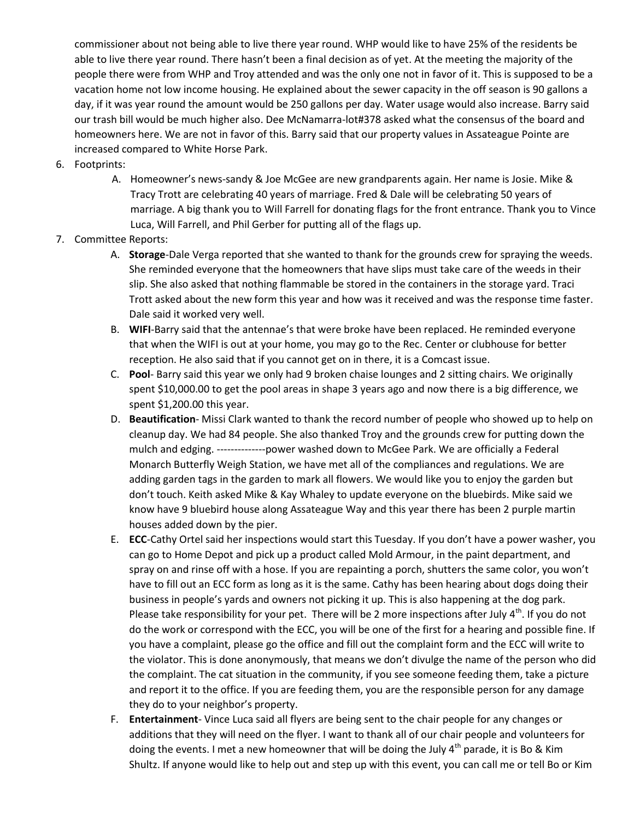commissioner about not being able to live there year round. WHP would like to have 25% of the residents be able to live there year round. There hasn't been a final decision as of yet. At the meeting the majority of the people there were from WHP and Troy attended and was the only one not in favor of it. This is supposed to be a vacation home not low income housing. He explained about the sewer capacity in the off season is 90 gallons a day, if it was year round the amount would be 250 gallons per day. Water usage would also increase. Barry said our trash bill would be much higher also. Dee McNamarra-lot#378 asked what the consensus of the board and homeowners here. We are not in favor of this. Barry said that our property values in Assateague Pointe are increased compared to White Horse Park.

- 6. Footprints:
	- A. Homeowner's news-sandy & Joe McGee are new grandparents again. Her name is Josie. Mike & Tracy Trott are celebrating 40 years of marriage. Fred & Dale will be celebrating 50 years of marriage. A big thank you to Will Farrell for donating flags for the front entrance. Thank you to Vince Luca, Will Farrell, and Phil Gerber for putting all of the flags up.

## 7. Committee Reports:

- A. **Storage**-Dale Verga reported that she wanted to thank for the grounds crew for spraying the weeds. She reminded everyone that the homeowners that have slips must take care of the weeds in their slip. She also asked that nothing flammable be stored in the containers in the storage yard. Traci Trott asked about the new form this year and how was it received and was the response time faster. Dale said it worked very well.
- B. **WIFI**-Barry said that the antennae's that were broke have been replaced. He reminded everyone that when the WIFI is out at your home, you may go to the Rec. Center or clubhouse for better reception. He also said that if you cannot get on in there, it is a Comcast issue.
- C. **Pool** Barry said this year we only had 9 broken chaise lounges and 2 sitting chairs. We originally spent \$10,000.00 to get the pool areas in shape 3 years ago and now there is a big difference, we spent \$1,200.00 this year.
- D. **Beautification** Missi Clark wanted to thank the record number of people who showed up to help on cleanup day. We had 84 people. She also thanked Troy and the grounds crew for putting down the mulch and edging. --------------power washed down to McGee Park. We are officially a Federal Monarch Butterfly Weigh Station, we have met all of the compliances and regulations. We are adding garden tags in the garden to mark all flowers. We would like you to enjoy the garden but don't touch. Keith asked Mike & Kay Whaley to update everyone on the bluebirds. Mike said we know have 9 bluebird house along Assateague Way and this year there has been 2 purple martin houses added down by the pier.
- E. **ECC**-Cathy Ortel said her inspections would start this Tuesday. If you don't have a power washer, you can go to Home Depot and pick up a product called Mold Armour, in the paint department, and spray on and rinse off with a hose. If you are repainting a porch, shutters the same color, you won't have to fill out an ECC form as long as it is the same. Cathy has been hearing about dogs doing their business in people's yards and owners not picking it up. This is also happening at the dog park. Please take responsibility for your pet. There will be 2 more inspections after July  $4<sup>th</sup>$ . If you do not do the work or correspond with the ECC, you will be one of the first for a hearing and possible fine. If you have a complaint, please go the office and fill out the complaint form and the ECC will write to the violator. This is done anonymously, that means we don't divulge the name of the person who did the complaint. The cat situation in the community, if you see someone feeding them, take a picture and report it to the office. If you are feeding them, you are the responsible person for any damage they do to your neighbor's property.
- F. **Entertainment** Vince Luca said all flyers are being sent to the chair people for any changes or additions that they will need on the flyer. I want to thank all of our chair people and volunteers for doing the events. I met a new homeowner that will be doing the July  $4^{th}$  parade, it is Bo & Kim Shultz. If anyone would like to help out and step up with this event, you can call me or tell Bo or Kim